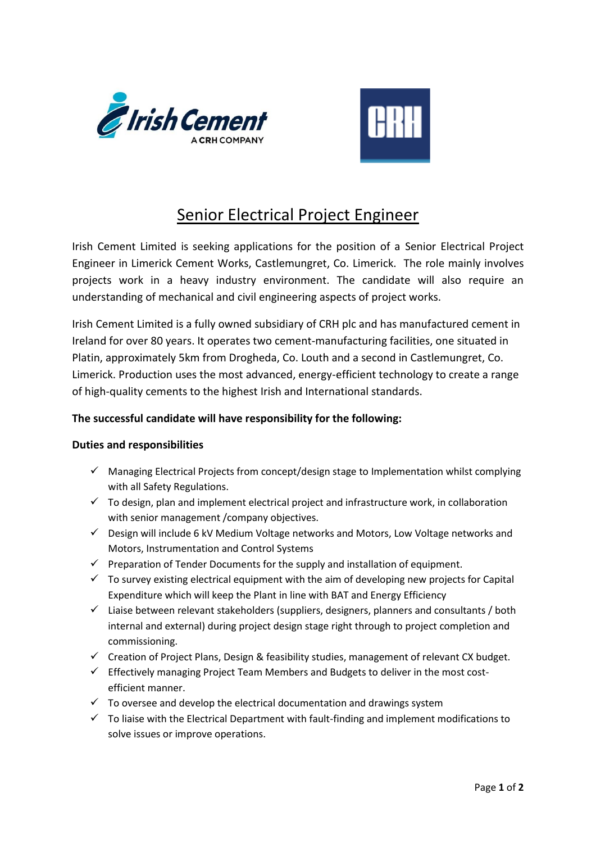



## Senior Electrical Project Engineer

Irish Cement Limited is seeking applications for the position of a Senior Electrical Project Engineer in Limerick Cement Works, Castlemungret, Co. Limerick. The role mainly involves projects work in a heavy industry environment. The candidate will also require an understanding of mechanical and civil engineering aspects of project works.

Irish Cement Limited is a fully owned subsidiary of CRH plc and has manufactured cement in Ireland for over 80 years. It operates two cement-manufacturing facilities, one situated in Platin, approximately 5km from Drogheda, Co. Louth and a second in Castlemungret, Co. Limerick. Production uses the most advanced, energy-efficient technology to create a range of high-quality cements to the highest Irish and International standards.

## **The successful candidate will have responsibility for the following:**

## **Duties and responsibilities**

- $\checkmark$  Managing Electrical Projects from concept/design stage to Implementation whilst complying with all Safety Regulations.
- $\checkmark$  To design, plan and implement electrical project and infrastructure work, in collaboration with senior management /company objectives.
- $\checkmark$  Design will include 6 kV Medium Voltage networks and Motors, Low Voltage networks and Motors, Instrumentation and Control Systems
- $\checkmark$  Preparation of Tender Documents for the supply and installation of equipment.
- $\checkmark$  To survey existing electrical equipment with the aim of developing new projects for Capital Expenditure which will keep the Plant in line with BAT and Energy Efficiency
- $\checkmark$  Liaise between relevant stakeholders (suppliers, designers, planners and consultants / both internal and external) during project design stage right through to project completion and commissioning.
- ✓ Creation of Project Plans, Design & feasibility studies, management of relevant CX budget.
- $\checkmark$  Effectively managing Project Team Members and Budgets to deliver in the most costefficient manner.
- $\checkmark$  To oversee and develop the electrical documentation and drawings system
- $\checkmark$  To liaise with the Electrical Department with fault-finding and implement modifications to solve issues or improve operations.